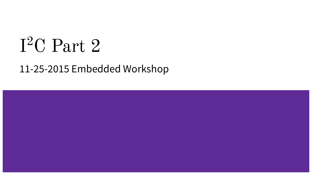# I2C Part 2

# 11-25-2015 Embedded Workshop

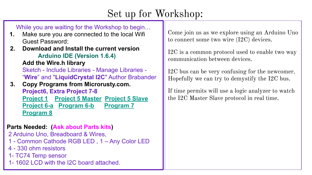# Set up for Workshop:

While you are waiting for the Workshop to begin…

- **1.** Make sure you are connected to the local Wifi Guest Password:
- **2. Download and Install the current version Arduino IDE (Version 1.6.4)**

**Add the Wire.h library**

Sketch - Include Libraries - Manage Libraries - "**Wire**" and "**LiquidCrystal I2C**" Author Brabander

 **3. Copy Programs from Microrusty.com. Project6, Extra Project 7-8 [Project 1](http://www.microrusty.com/2015_Workshops/I2C_Part1/Scanner_I2C_Project1/Scanner_I2C_Project1.ino) [Project 5 Master](http://www.microrusty.com/2015_Workshops/I2C_Part2/Project_5/arduino_Master-I2C_RGB/arduino_Master-I2C_RGB.ino) [Project 5 Slave](http://www.microrusty.com/2015_Workshops/I2C_Part2/Project_5/arduino_slave-I2C_RGB_9/arduino_slave-I2C_RGB_9.ino) [Project 6-a](http://www.microrusty.com/2015_Workshops/I2C_Part2/Project_6/read_temp_Fan_LCD20_v6/read_temp_Fan_LCD20_v6.ino) [Program 6-b](http://www.microrusty.com/2015_Workshops/I2C_Part2/Project_6/read_temp_Fan_LCD20_v7/read_temp_Fan_LCD20_v7.ino) [Program 7](http://www.microrusty.com/2015_Workshops/I2C_Part2/Project_7_I2C_PortExpand/Project_7_I2C_PortExpand.ino) [Program 8](http://www.microrusty.com/2015_Workshops/I2C_Part2/Project_8_I2C_LCD/Project_8_I2C_LCD.ino)**

### **Parts Needed: (Ask about Parts kits)**

2 Arduino Uno, Breadboard & Wires,

- 1 Common Cathode RGB LED , 1 Any Color LED
- 4 330 ohm resistors
- 1- TC74 Temp sensor
- 1- 1602 LCD with the I2C board attached.

Come join us as we explore using an Arduino Uno to connect some two wire (I2C) devices.

I2C is a common protocol used to enable two way communication between devices.

I2C bus can be very confusing for the newcomer. Hopefully we can try to demystify the I2C bus.

If time permits will use a logic analyzer to watch the I2C Master Slave protocol in real time.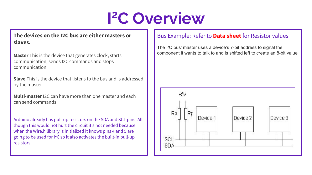# **I2C Overview**

#### **The devices on the I2C bus are either masters or slaves.**

**Master** This is the device that generates clock, starts communication, sends I2C commands and stops communication

**Slave** This is the device that listens to the bus and is addressed by the master

**Multi-master** I2C can have more than one master and each can send commands

Arduino already has pull-up resistors on the SDA and SCL pins. All though this would not hurt the circuit it's not needed because when the Wire.h library is initialized it knows pins 4 and 5 are going to be used for I²C so it also activates the built-in pull-up resistors.

#### Bus Example: Refer to **Data sheet** for Resistor values

The I²C bus' master uses a device's 7-bit address to signal the component it wants to talk to and is shifted left to create an 8-bit value

![](_page_2_Figure_8.jpeg)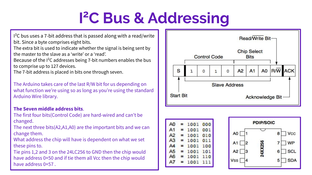# **I2C Bus & Addressing**

I²C bus uses a 7-bit address that is passed along with a read/write bit. Since a byte comprises eight bits.

The extra bit is used to indicate whether the signal is being sent by the master to the slave as a 'write' or a 'read'.

Because of the I²C addresses being 7-bit numbers enables the bus to comprise up to 127 devices.

The 7-bit address is placed in bits one through seven.

The Arduino takes care of the last R/W bit for us depending on what function we're using so as long as you're using the standard Arduino Wire library.

#### **The Seven middle address bits**.

The first four bits(Control Code) are hard-wired and can't be changed.

The next three bits(A2,A1,A0) are the important bits and we can change them.

What address the chip will have is dependent on what we set these pins to.

Tie pins 1,2 and 3 on the 24LC256 to GND then the chip would have address 0×50 and if tie them all Vcc then the chip would have address 0×57 .

![](_page_3_Figure_11.jpeg)

![](_page_3_Figure_12.jpeg)

![](_page_3_Figure_13.jpeg)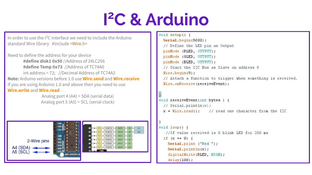# **I2C & Arduino**

In order to use the I²C interface we need to include the Arduino standard Wire library #include <Wire.h>

Need to define the address for your device **#define disk1 0x50** //Address of 24LC256 **#define Temp 0x73** //Address of TC74A0 int address = 72; //Decimal Address of TC74A2 **Note:** Arduino versions before 1.0 use **Wire.send** and **Wire.receive** If you are using Arduino 1.0 and above then you need to use **Wire.write** and **Wire.read**

> Analog port 4 (A4) = SDA (serial data) Analog port 5 (A5) = SCL (serial clock)

![](_page_4_Picture_4.jpeg)

```
void setup() {
 Serial.begin(9600);
 // Define the LED pin as Output
 pinMode (RLED, OUTPUT);
 pinMode (GLED, OUTPUT);
 pinMode (BLED, OUTPUT);
 // Start the I2C Bus as Slave on address 9
 Wire.begin(9);
 // Attach a function to trigger when something is received.
 Wire.onReceive(receiveEvent);
```

```
void receiveEvent(int bytes) {
  // Serial.println(x);
 x = Wire read(); // read one character from the I2C
```

```
void loop() {
   //If value received is 0 blink LED for 200 ms
  if (x == 0) {
    Serial.print ("Red ");
    \text{Serial.println}(x);
    digitalWrite(RLED, HIGH);
    delay(100);
```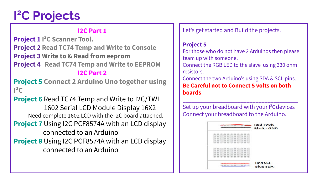# **I2C Projects**

### **I2C Part 1**

**Project 1 I 2C Scanner Tool. Project 2 Read TC74 Temp and Write to Console Project 3 Write to & Read from eeprom Project 4 Read TC74 Temp and Write to EEPROM I2C Part 2**

**Project 5 Connect 2 Arduino Uno together using**   $l^2C$ 

**Project 6** Read TC74 Temp and Write to I2C/TWI 1602 Serial LCD Module Display 16X2 Need complete 1602 LCD with the I2C board attached. **Project 7** Using I2C PCF8574A with an LCD display connected to an Arduino **Project 8** Using I2C PCF8574A with an LCD display connected to an Arduino

Let's get started and Build the projects.

### **Project 5**

For those who do not have 2 Arduinos then please team up with someone.

Connect the RGB LED to the slave using 330 ohm resistors.

Connect the two Arduino's using SDA & SCL pins. **Be Careful not to Connect 5 volts on both boards**

\_\_\_\_\_\_\_\_\_\_\_\_\_\_\_\_\_\_\_\_\_\_\_\_\_\_\_\_\_\_\_\_\_\_\_\_\_\_ Set up your breadboard with your <sup>2</sup>C devices Connect your breadboard to the Arduino.

| <b>C3</b> | <b>Red +Volt</b><br><b>Black - GND</b> |  |  |  |  |  |
|-----------|----------------------------------------|--|--|--|--|--|
|           |                                        |  |  |  |  |  |
|           |                                        |  |  |  |  |  |
|           |                                        |  |  |  |  |  |
|           |                                        |  |  |  |  |  |
|           |                                        |  |  |  |  |  |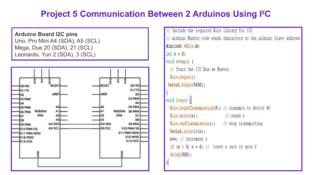### **Project 5 Communication Between 2 Arduinos Using I²C**

**Arduino Board I2C pins** Uno, Pro Mini A4 (SDA), A5 (SCL) Mega, Due 20 (SDA), 21 (SCL) Leonardo, Yun 2 (SDA), 3 (SCL)

![](_page_6_Figure_2.jpeg)

```
Include the required Wire library for I2C
// Arduino Master code sends characters to the Arduino Slave address
$include \langleTire.h>
int x = 0:
void setup() {
 // Start the I2C Bus as Master
 Wire.begin();
Serial.begin(9600);
void loop()Wire beginTransmission(9); // transmit to device #9Wire.write(x); // sends x
 Wire.endTransmission(); // stop transmitting
 \text{Serial.println}(x);
 x++: // Increment x
 if (x > 5) x = 0; // 'reset x once it gets 6
 delay(500);
```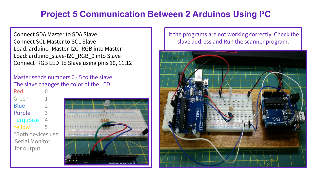## **Project 5 Communication Between 2 Arduinos Using I²C**

Connect SDA Master to SDA Slave Connect SCL Master to SCL Slave Load: arduino\_Master-I2C\_RGB into Master Load: arduino\_slave-I2C\_RGB\_9 into Slave Connect RGB LED to Slave using pins 10, 11,12

#### Master sends numbers 0 - 5 to the slave. The slave changes the color of the LED

**Red** Green Blue 2 Purple 3 Turquoise 4 Yellow 5 \*Both devices use Serial Monitor for output

![](_page_7_Figure_4.jpeg)

#### If the programs are not working correctly. Check the slave address and Run the scanner program.

![](_page_7_Picture_6.jpeg)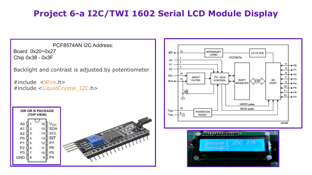## **Project 6-a I2C/TWI 1602 Serial LCD Module Display**

PCF8574AN I2C Address: Board 0x20~0x27 Chip 0x38 - 0x3F

Backlight and contrast is adjusted by potentiometer

#include <Wire.h> #include <LiquidCrystal\_I2C.h>

![](_page_8_Figure_4.jpeg)

![](_page_8_Figure_5.jpeg)

![](_page_8_Picture_6.jpeg)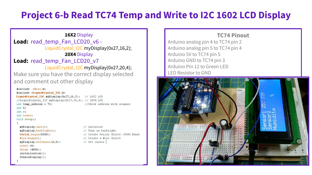# **Project 6-b Read TC74 Temp and Write to I2C 1602 LCD Display**

#### **16X2** Display Load: read temp Fan LCD20 v6 -LiquidCrystal\_I2C myDisplay(0x27,16,2); **20X4** Display Load: read temp Fan LCD20 v7 LiquidCrystal\_I2C myDisplay(0x27,20,4); Make sure you have the correct display selected and comment out other display  $"$ include  $\langle$ Vire.h> #include <LiquidCrystal I2C.h> LiquidCrystal I2C myDisplay(0x27,16,2); // 16X2 LCD //LiquidCrystal I2C myDisplay(0x27,20,4); // 20X4 LCD int temp address =  $72$ ; //Check address with scanner int f: int c: int reset: void setup() myDisplay.init(); // initalize myDisplay.backlight(); // Turn on backlight

Serial.begin(9600); Wire  $begin()$ ; myDisplay.setCursor(0,0);  $reset = 0;$ delay (4000);  $initialization()$ :

 $SensorDisplay()$ ;

// Create Serial Object (9600 Baud) // Create a Wire Object // Set cursor

#### **TC74 Pinout**

Arduino analog pin 4 to TC74 pin 2 Arduino analog pin 5 to TC74 pin 4 Arduino 5V to TC74 pin 5 Arduino GND to TC74 pin 3 Arduino Pin 12 to Green LED LED Resistor to GND

![](_page_9_Picture_6.jpeg)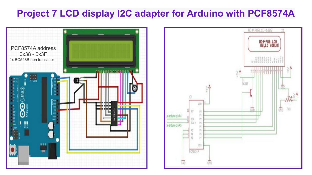## **Project 7 LCD display I2C adapter for Arduino with PCF8574A**

HD44780LCD-1602

Q1 **DCSAN**  HD44788 LCD<br>HELLO WORLD!

TM1 ckb.

![](_page_10_Figure_1.jpeg)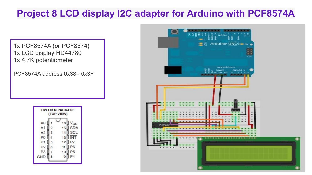# **Project 8 LCD display I2C adapter for Arduino with PCF8574A**

1x PCF8574A (or PCF8574) 1x LCD display HD44780 1x 4.7K potentiometer

PCF8574A address 0x38 - 0x3F

![](_page_11_Figure_3.jpeg)

![](_page_11_Picture_4.jpeg)